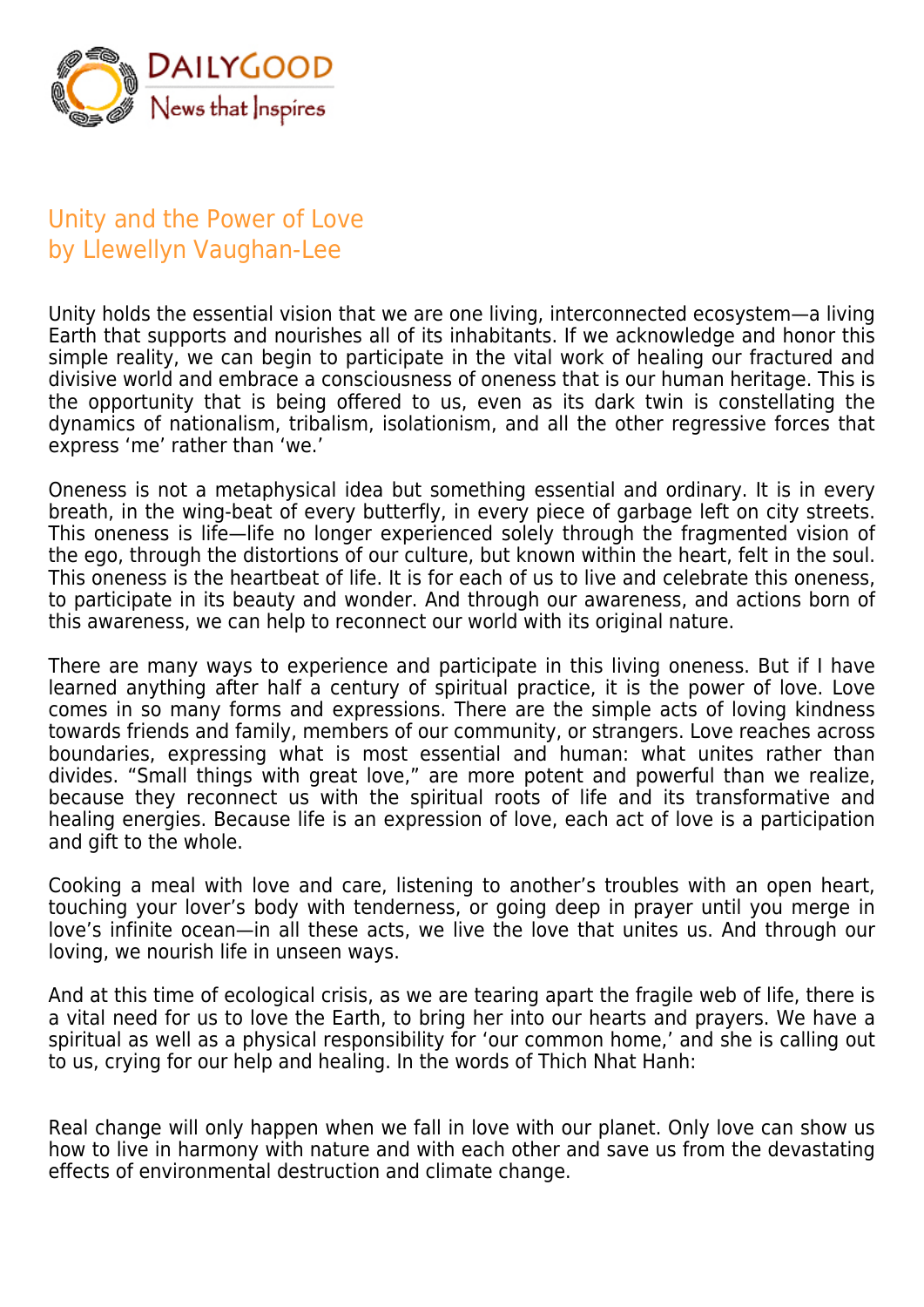

## Unity and the Power of Love by Llewellyn Vaughan-Lee

Unity holds the essential vision that we are one living, interconnected ecosystem—a living Earth that supports and nourishes all of its inhabitants. If we acknowledge and honor this simple reality, we can begin to participate in the vital work of healing our fractured and divisive world and embrace a consciousness of oneness that is our human heritage. This is the opportunity that is being offered to us, even as its dark twin is constellating the dynamics of nationalism, tribalism, isolationism, and all the other regressive forces that express 'me' rather than 'we.'

Oneness is not a metaphysical idea but something essential and ordinary. It is in every breath, in the wing-beat of every butterfly, in every piece of garbage left on city streets. This oneness is life—life no longer experienced solely through the fragmented vision of the ego, through the distortions of our culture, but known within the heart, felt in the soul. This oneness is the heartbeat of life. It is for each of us to live and celebrate this oneness, to participate in its beauty and wonder. And through our awareness, and actions born of this awareness, we can help to reconnect our world with its original nature.

There are many ways to experience and participate in this living oneness. But if I have learned anything after half a century of spiritual practice, it is the power of love. Love comes in so many forms and expressions. There are the simple acts of loving kindness towards friends and family, members of our community, or strangers. Love reaches across boundaries, expressing what is most essential and human: what unites rather than divides. "Small things with great love," are more potent and powerful than we realize, because they reconnect us with the spiritual roots of life and its transformative and healing energies. Because life is an expression of love, each act of love is a participation and gift to the whole.

Cooking a meal with love and care, listening to another's troubles with an open heart, touching your lover's body with tenderness, or going deep in prayer until you merge in love's infinite ocean—in all these acts, we live the love that unites us. And through our loving, we nourish life in unseen ways.

And at this time of ecological crisis, as we are tearing apart the fragile web of life, there is a vital need for us to love the Earth, to bring her into our hearts and prayers. We have a spiritual as well as a physical responsibility for 'our common home,' and she is calling out to us, crying for our help and healing. In the words of Thich Nhat Hanh:

Real change will only happen when we fall in love with our planet. Only love can show us how to live in harmony with nature and with each other and save us from the devastating effects of environmental destruction and climate change.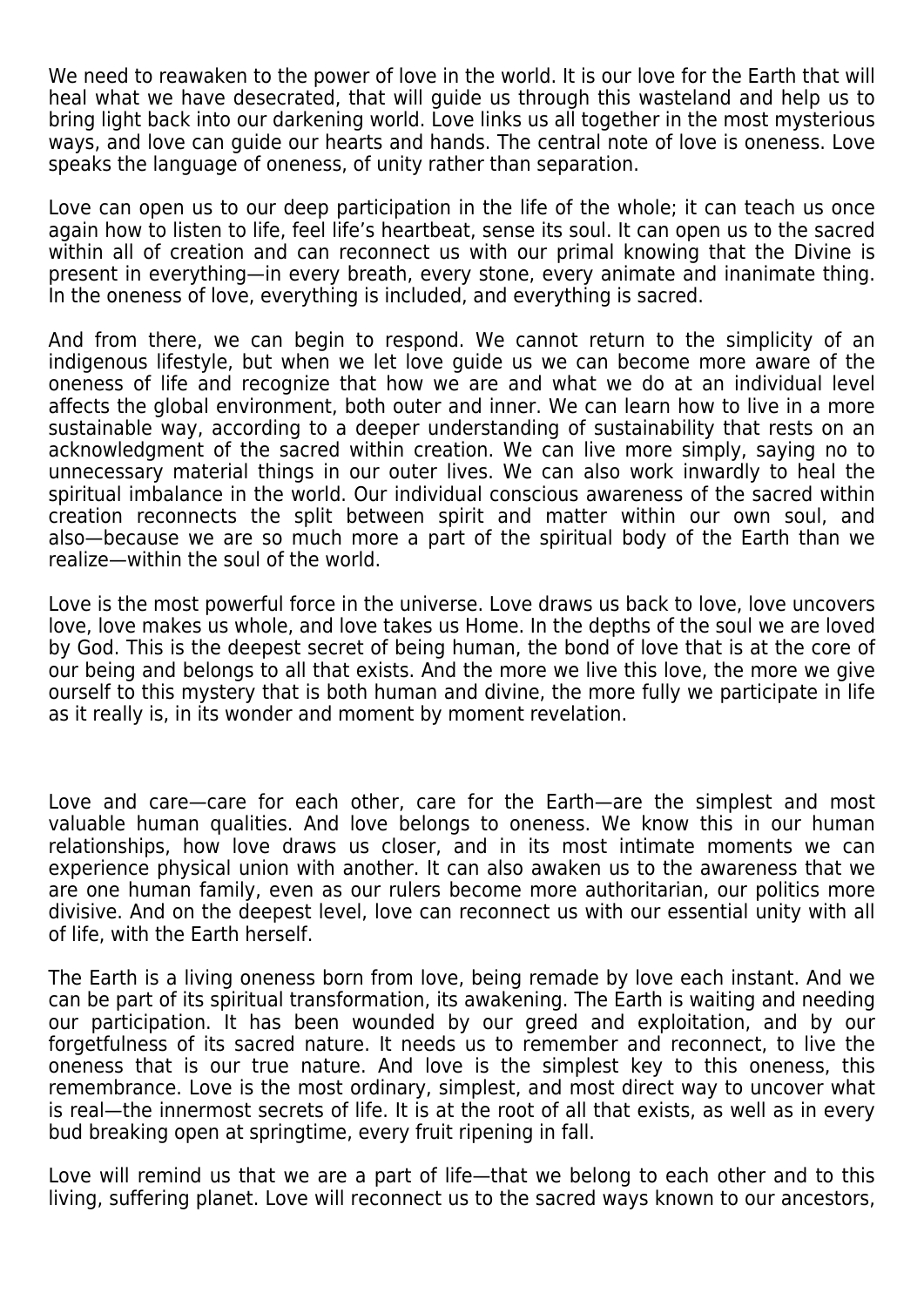We need to reawaken to the power of love in the world. It is our love for the Earth that will heal what we have desecrated, that will guide us through this wasteland and help us to bring light back into our darkening world. Love links us all together in the most mysterious ways, and love can guide our hearts and hands. The central note of love is oneness. Love speaks the language of oneness, of unity rather than separation.

Love can open us to our deep participation in the life of the whole; it can teach us once again how to listen to life, feel life's heartbeat, sense its soul. It can open us to the sacred within all of creation and can reconnect us with our primal knowing that the Divine is present in everything—in every breath, every stone, every animate and inanimate thing. In the oneness of love, everything is included, and everything is sacred.

And from there, we can begin to respond. We cannot return to the simplicity of an indigenous lifestyle, but when we let love guide us we can become more aware of the oneness of life and recognize that how we are and what we do at an individual level affects the global environment, both outer and inner. We can learn how to live in a more sustainable way, according to a deeper understanding of sustainability that rests on an acknowledgment of the sacred within creation. We can live more simply, saying no to unnecessary material things in our outer lives. We can also work inwardly to heal the spiritual imbalance in the world. Our individual conscious awareness of the sacred within creation reconnects the split between spirit and matter within our own soul, and also—because we are so much more a part of the spiritual body of the Earth than we realize—within the soul of the world.

Love is the most powerful force in the universe. Love draws us back to love, love uncovers love, love makes us whole, and love takes us Home. In the depths of the soul we are loved by God. This is the deepest secret of being human, the bond of love that is at the core of our being and belongs to all that exists. And the more we live this love, the more we give ourself to this mystery that is both human and divine, the more fully we participate in life as it really is, in its wonder and moment by moment revelation.

Love and care—care for each other, care for the Earth—are the simplest and most valuable human qualities. And love belongs to oneness. We know this in our human relationships, how love draws us closer, and in its most intimate moments we can experience physical union with another. It can also awaken us to the awareness that we are one human family, even as our rulers become more authoritarian, our politics more divisive. And on the deepest level, love can reconnect us with our essential unity with all of life, with the Earth herself.

The Earth is a living oneness born from love, being remade by love each instant. And we can be part of its spiritual transformation, its awakening. The Earth is waiting and needing our participation. It has been wounded by our greed and exploitation, and by our forgetfulness of its sacred nature. It needs us to remember and reconnect, to live the oneness that is our true nature. And love is the simplest key to this oneness, this remembrance. Love is the most ordinary, simplest, and most direct way to uncover what is real—the innermost secrets of life. It is at the root of all that exists, as well as in every bud breaking open at springtime, every fruit ripening in fall.

Love will remind us that we are a part of life—that we belong to each other and to this living, suffering planet. Love will reconnect us to the sacred ways known to our ancestors,